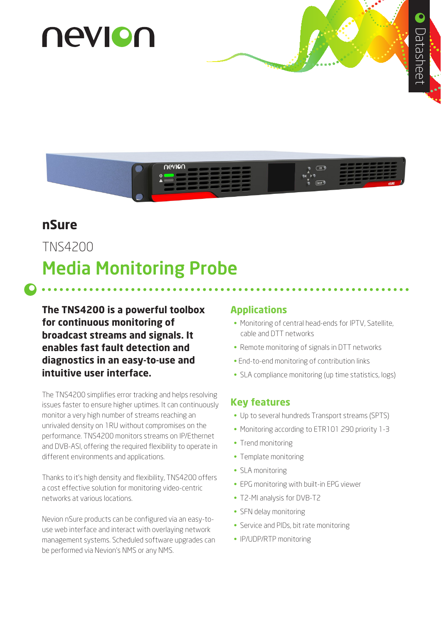# nevion



# **nSure**

TNS4200

# Media Monitoring Probe

**The TNS4200 is a powerful toolbox for continuous monitoring of broadcast streams and signals. It enables fast fault detection and diagnostics in an easy-to-use and intuitive user interface.**

The TNS4200 simplifies error tracking and helps resolving issues faster to ensure higher uptimes. It can continuously monitor a very high number of streams reaching an unrivaled density on 1RU without compromises on the performance. TNS4200 monitors streams on IP/Ethernet and DVB-ASI, offering the required flexibility to operate in different environments and applications.

Thanks to it's high density and flexibility, TNS4200 offers a cost effective solution for monitoring video-centric networks at various locations.

Nevion nSure products can be configured via an easy-touse web interface and interact with overlaying network management systems. Scheduled software upgrades can be performed via Nevion's NMS or any NMS.

#### **Applications**

- Monitoring of central head-ends for IPTV, Satellite, cable and DTT networks
- Remote monitoring of signals in DTT networks
- End-to-end monitoring of contribution links
- SLA compliance monitoring (up time statistics, logs)

#### **Key features**

- Up to several hundreds Transport streams (SPTS)
- Monitoring according to ETR101 290 priority 1-3
- Trend monitoring
- Template monitoring
- SLA monitoring
- EPG monitoring with built-in EPG viewer
- T2-MI analysis for DVB-T2
- SFN delay monitoring
- Service and PIDs, bit rate monitoring
- IP/UDP/RTP monitoring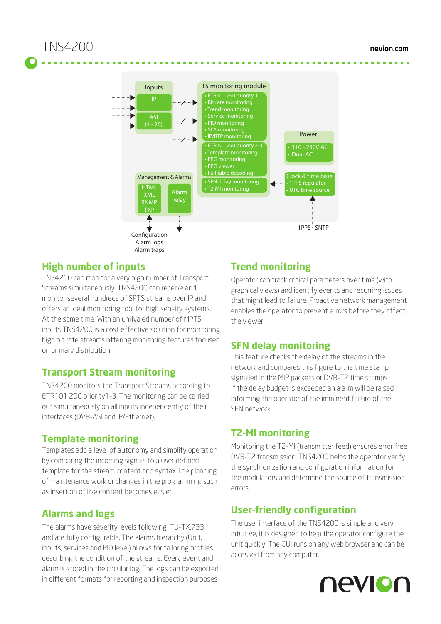

#### **High number of inputs**

TNS4200 can monitor a very high number of Transport Streams simultaneously. TNS4200 can receive and monitor several hundreds of SPTS streams over IP and offers an ideal monitoring tool for high sensity systems. At the same time. With an unrivaled number of MPTS inputs TNS4200 is a cost effective solution for monitoring high bit rate streams offering monitoring features focused on primary distribution

### **Transport Stream monitoring**

TNS4200 monitors the Transport Streams according to ETR101 290 priority1-3. The monitoring can be carried out simultaneously on all inputs independently of their interfaces (DVB-ASI and IP/Ethernet).

#### **Template monitoring**

Templates add a level of autonomy and simplify operation by comparing the incoming signals to a user defined template for the stream content and syntax The planning of maintenance work or changes in the programming such as insertion of live content becomes easier.

#### **Alarms and logs**

The alarms have severity levels following ITU-TX.733 and are fully configurable. The alarms hierarchy (Unit, inputs, services and PID level) allows for tailoring profiles describing the condition of the streams. Every event and alarm is stored in the circular log. The logs can be exported in different formats for reporting and inspection purposes.

### **Trend monitoring**

Operator can track critical parameters over time (with graphical views) and identify events and recurring issues that might lead to failure. Proactive network management enables the operator to prevent errors before they affect the viewer.

#### **SFN delay monitoring**

This feature checks the delay of the streams in the network and compares this figure to the time stamp signalled in the MIP packets or DVB-T2 time stamps. If the delay budget is exceeded an alarm will be raised informing the operator of the imminent failure of the SFN network.

### **T2-MI monitoring**

Monitoring the T2-MI (transmitter feed) ensures error free DVB-T2 transmission. TNS4200 helps the operator verify the synchronization and configuration information for the modulators and determine the source of transmission errors.

### **User-friendly configuration**

The user interface of the TNS4200 is simple and very intuitive, it is designed to help the operator configure the unit quickly. The GUI runs on any web browser and can be accessed from any computer.

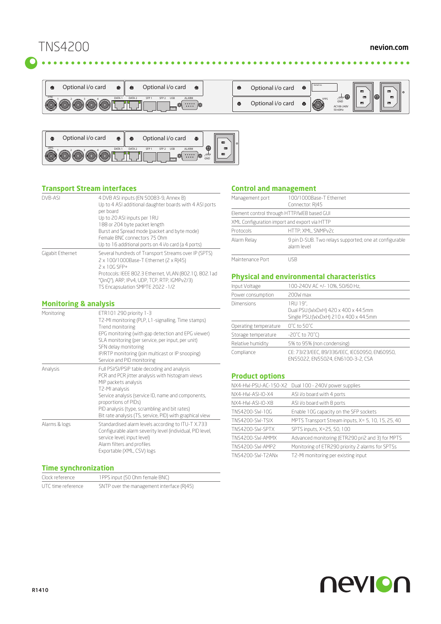# TNS4200





| ⊕ | Optional i/o card | ⊕ | Serial no.  |                                   | $\Box$      | $\Box$             |
|---|-------------------|---|-------------|-----------------------------------|-------------|--------------------|
| ⊕ | Optional i/o card | ⊕ | <b>IPPS</b> | ⊕<br>GND<br>AC100-240V<br>50-60Hz | 叵<br>$\Box$ | $\Box$<br>$\equiv$ |

#### **Transport Stream interfaces**

| DVB-ASI          | 4 DVB ASI inputs (EN 50083-9, Annex B)<br>Up to 4 ASI additional daughter boards with 4 ASI ports<br>per board<br>Up to 20 ASI inputs per 1RU<br>188 or 204 byte packet length<br>Burst and Spread mode (packet and byte mode)<br>Female BNC connectors 75 Ohm<br>Up to 16 additional ports on 4 i/o card (a 4 ports) |
|------------------|-----------------------------------------------------------------------------------------------------------------------------------------------------------------------------------------------------------------------------------------------------------------------------------------------------------------------|
| Gigabit Ethernet | Several hundreds of Transport Streams over IP (SPTS)<br>2 x 100/1000Base-T Ethernet (2 x R 45)<br>2 x 10G SFP+<br>Protocols: IEEE 802.3 Ethernet, VLAN (802.10, 802.1 ad<br>"OinO"), ARP, IPv4, UDP, TCP, RTP, IGMPv2/3)<br>TS Encapsulation SMPTE 2022 - 1/2                                                         |

#### **Monitoring & analysis**

| Monitoring    | ETR101 290 priority 1-3<br>T2-MI monitoring (PLP, L1-signalling, Time stamps)<br>Trend monitoring<br>EPG monitoring (with gap detection and EPG viewer)<br>SLA monitoring (per service, per input, per unit)<br>SFN delay monitoring<br>IP/RTP monitoring (join multicast or IP snooping)<br>Service and PID monitoring               |
|---------------|---------------------------------------------------------------------------------------------------------------------------------------------------------------------------------------------------------------------------------------------------------------------------------------------------------------------------------------|
| Analysis      | Full PSI/SI/PSIP table decoding and analysis<br>PCR and PCR jitter analysis with histogram views<br>MIP packets analysis<br>T2-MI analysis<br>Service analysis (service ID, name and components,<br>proportions of PIDs)<br>PID analysis (type, scrambling and bit rates)<br>Bit rate analysis (TS, service, PID) with graphical view |
| Alarms & logs | Standardised alarm levels according to ITU-T X.733<br>Configurable alarm severity level (individual, PID level,<br>service level, input level)<br>Alarm filters and profiles<br>Exportable (XML, CSV) logs                                                                                                                            |

#### **Time synchronization**

| Clock reference    | 1 PPS input (50 Ohm female BNC)           |
|--------------------|-------------------------------------------|
| UTC time reference | SNTP over the management interface (RJ45) |

#### **Control and management**

| Management port                              | 100/1000Base-T Ethernet<br>Connector: RI45                            |  |
|----------------------------------------------|-----------------------------------------------------------------------|--|
|                                              | Element control through HTTP/WEB based GUI                            |  |
| XML Configuration import and export via HTTP |                                                                       |  |
| Protocols                                    | HTTP, XML, SNMPv2c                                                    |  |
| Alarm Relay                                  | 9 pin D-SUB. Two relays supported; one at configurable<br>alarm level |  |
| Maintenance Port                             | ISR                                                                   |  |

#### **Physical and environmental characteristics**

| Input Voltage         | 100-240V AC +/- 10%, 50/60 Hz,                                                           |  |  |
|-----------------------|------------------------------------------------------------------------------------------|--|--|
| Power consumption     | 200W max                                                                                 |  |  |
| Dimensions            | 1RU 19",<br>Dual PSU:(WxDxH) 420 x 400 x 44.5mm<br>Single PSU:(WxDxH) 210 x 400 x 44.5mm |  |  |
| Operating temperature | $0^{\circ}$ C to 50 $^{\circ}$ C                                                         |  |  |
| Storage temperature   | $-20^{\circ}$ C to 70 $^{\circ}$ C)                                                      |  |  |
| Relative humidity     | 5% to 95% (non condensing)                                                               |  |  |
| Compliance            | CE: 73/23/EEC, 89/336/EEC, IEC60950, EN60950,<br>EN55022, EN55024, EN6100-3-2, CSA       |  |  |

#### **Product options**

|  |                        | NX4-HW-PSU-AC-150-X2 Dual 100 - 240V power supplies |
|--|------------------------|-----------------------------------------------------|
|  | NX4-HW-ASI-IO-X4       | ASI i/o board with 4 ports                          |
|  | NX4-HW-ASI-IO-X8       | ASI i/o board with 8 ports                          |
|  | TNS4200-SW-10G         | Enable 10G capacity on the SFP sockets              |
|  | <b>TNS4200-SW-TSIX</b> | MPTS Transport Stream inputs, X= 5, 10, 15, 25, 40  |
|  | TNS4200-SW-SPTX        | SPTS inputs, X=25, 50, 100                          |
|  | TNS4200-SW-AMMX        | Advanced monitoring (ETR290 pri2 and 3) for MPTS    |
|  | TNS4200-SW-AMP2        | Monitoring of ETR290 priority 2 alarms for SPTSs    |
|  | TNS4200-SW-T2ANx       | T2-MI monitoring per existing input                 |